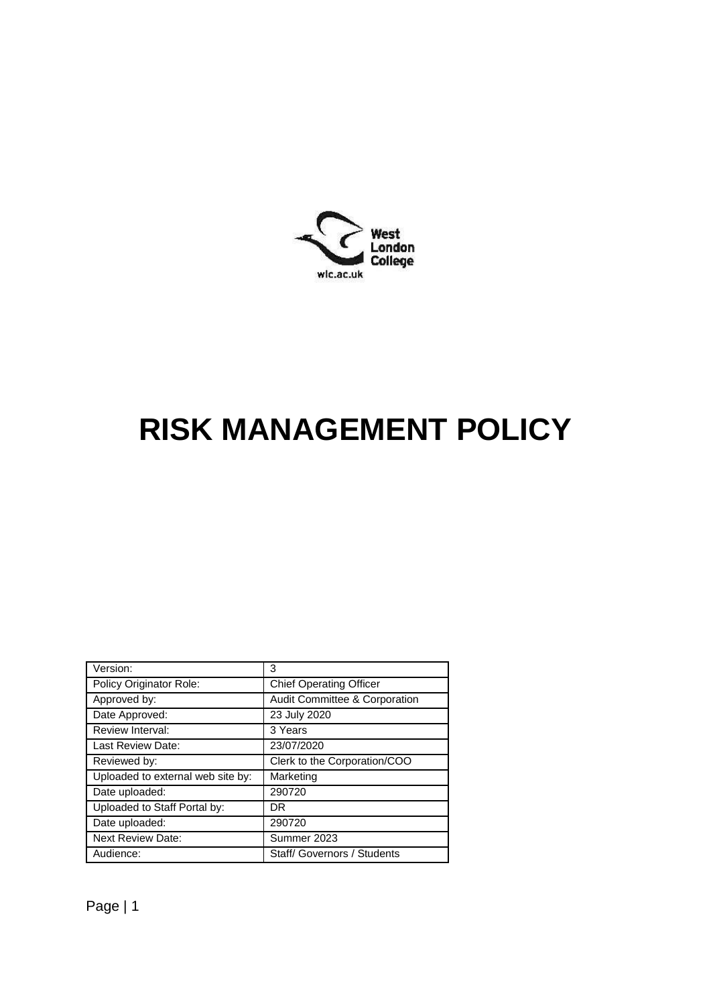

# **RISK MANAGEMENT POLICY**

| Version:                          | 3                                        |
|-----------------------------------|------------------------------------------|
| Policy Originator Role:           | <b>Chief Operating Officer</b>           |
| Approved by:                      | <b>Audit Committee &amp; Corporation</b> |
| Date Approved:                    | 23 July 2020                             |
| Review Interval:                  | 3 Years                                  |
| Last Review Date:                 | 23/07/2020                               |
| Reviewed by:                      | Clerk to the Corporation/COO             |
| Uploaded to external web site by: | Marketing                                |
| Date uploaded:                    | 290720                                   |
| Uploaded to Staff Portal by:      | DR                                       |
| Date uploaded:                    | 290720                                   |
| <b>Next Review Date:</b>          | Summer 2023                              |
| Audience:                         | Staff/ Governors / Students              |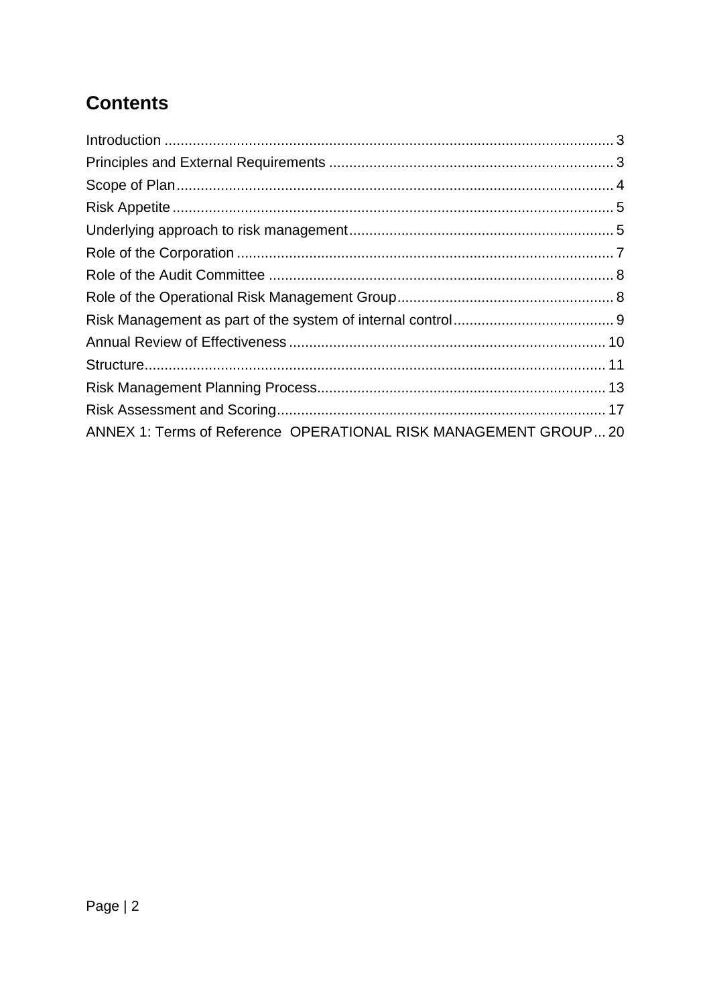## **Contents**

| ANNEX 1: Terms of Reference OPERATIONAL RISK MANAGEMENT GROUP 20 |  |
|------------------------------------------------------------------|--|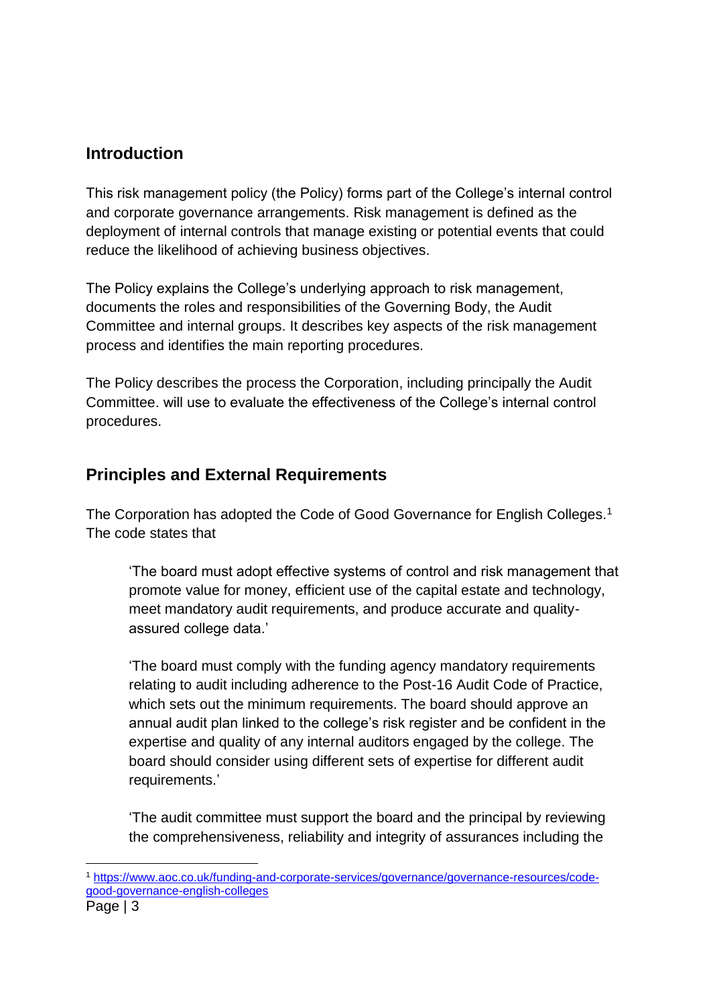### <span id="page-2-0"></span>**Introduction**

This risk management policy (the Policy) forms part of the College's internal control and corporate governance arrangements. Risk management is defined as the deployment of internal controls that manage existing or potential events that could reduce the likelihood of achieving business objectives.

The Policy explains the College's underlying approach to risk management, documents the roles and responsibilities of the Governing Body, the Audit Committee and internal groups. It describes key aspects of the risk management process and identifies the main reporting procedures.

The Policy describes the process the Corporation, including principally the Audit Committee. will use to evaluate the effectiveness of the College's internal control procedures.

## <span id="page-2-1"></span>**Principles and External Requirements**

The Corporation has adopted the Code of Good Governance for English Colleges.<sup>1</sup> The code states that

'The board must adopt effective systems of control and risk management that promote value for money, efficient use of the capital estate and technology, meet mandatory audit requirements, and produce accurate and qualityassured college data.'

'The board must comply with the funding agency mandatory requirements relating to audit including adherence to the Post-16 Audit Code of Practice, which sets out the minimum requirements. The board should approve an annual audit plan linked to the college's risk register and be confident in the expertise and quality of any internal auditors engaged by the college. The board should consider using different sets of expertise for different audit requirements.'

'The audit committee must support the board and the principal by reviewing the comprehensiveness, reliability and integrity of assurances including the

1

<sup>1</sup> [https://www.aoc.co.uk/funding-and-corporate-services/governance/governance-resources/code](https://www.aoc.co.uk/funding-and-corporate-services/governance/governance-resources/code-good-governance-english-colleges)[good-governance-english-colleges](https://www.aoc.co.uk/funding-and-corporate-services/governance/governance-resources/code-good-governance-english-colleges)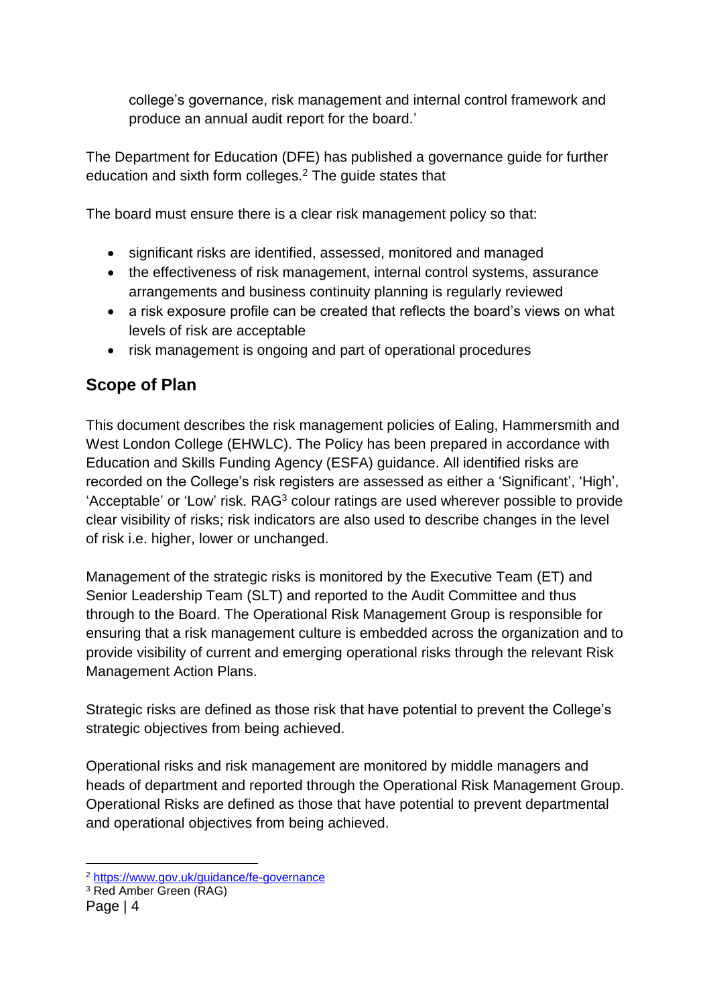college's governance, risk management and internal control framework and produce an annual audit report for the board.'

The Department for Education (DFE) has published a governance guide for further education and sixth form colleges.<sup>2</sup> The guide states that

The board must ensure there is a clear risk management policy so that:

- significant risks are identified, assessed, monitored and managed
- the effectiveness of risk management, internal control systems, assurance arrangements and business continuity planning is regularly reviewed
- a risk exposure profile can be created that reflects the board's views on what levels of risk are acceptable
- risk management is ongoing and part of operational procedures

## <span id="page-3-0"></span>**Scope of Plan**

This document describes the risk management policies of Ealing, Hammersmith and West London College (EHWLC). The Policy has been prepared in accordance with Education and Skills Funding Agency (ESFA) guidance. All identified risks are recorded on the College's risk registers are assessed as either a 'Significant', 'High', 'Acceptable' or 'Low' risk. RAG<sup>3</sup> colour ratings are used wherever possible to provide clear visibility of risks; risk indicators are also used to describe changes in the level of risk i.e. higher, lower or unchanged.

Management of the strategic risks is monitored by the Executive Team (ET) and Senior Leadership Team (SLT) and reported to the Audit Committee and thus through to the Board. The Operational Risk Management Group is responsible for ensuring that a risk management culture is embedded across the organization and to provide visibility of current and emerging operational risks through the relevant Risk Management Action Plans.

Strategic risks are defined as those risk that have potential to prevent the College's strategic objectives from being achieved.

Operational risks and risk management are monitored by middle managers and heads of department and reported through the Operational Risk Management Group. Operational Risks are defined as those that have potential to prevent departmental and operational objectives from being achieved.

1

<sup>2</sup> <https://www.gov.uk/guidance/fe-governance>

<sup>3</sup> Red Amber Green (RAG)

Page | 4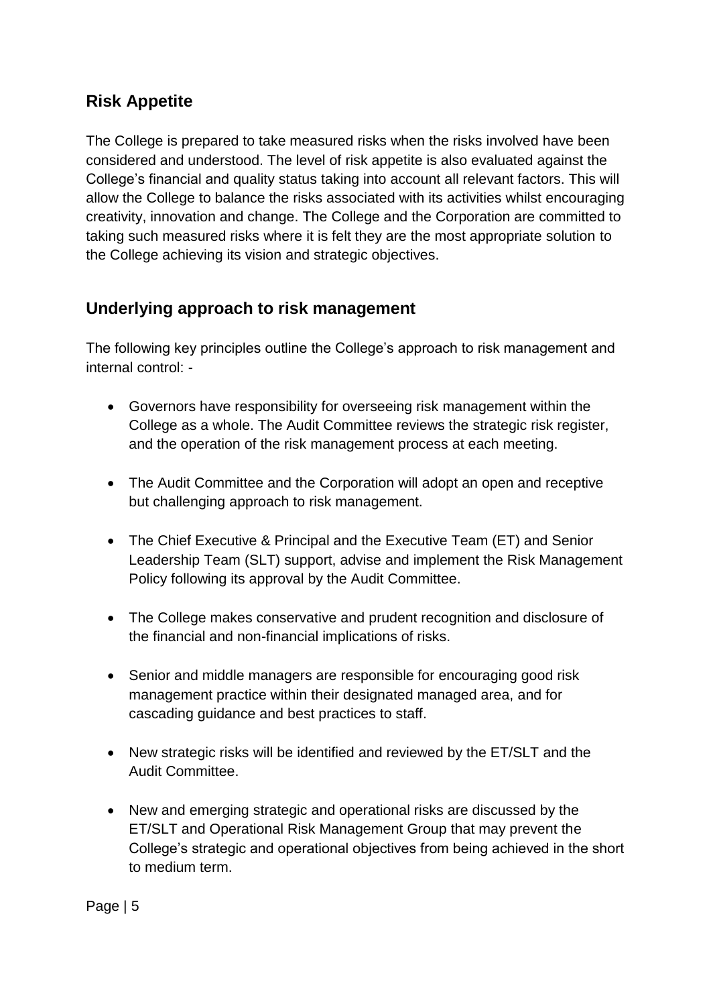## <span id="page-4-0"></span>**Risk Appetite**

The College is prepared to take measured risks when the risks involved have been considered and understood. The level of risk appetite is also evaluated against the College's financial and quality status taking into account all relevant factors. This will allow the College to balance the risks associated with its activities whilst encouraging creativity, innovation and change. The College and the Corporation are committed to taking such measured risks where it is felt they are the most appropriate solution to the College achieving its vision and strategic objectives.

## <span id="page-4-1"></span>**Underlying approach to risk management**

The following key principles outline the College's approach to risk management and internal control: -

- Governors have responsibility for overseeing risk management within the College as a whole. The Audit Committee reviews the strategic risk register, and the operation of the risk management process at each meeting.
- The Audit Committee and the Corporation will adopt an open and receptive but challenging approach to risk management.
- The Chief Executive & Principal and the Executive Team (ET) and Senior Leadership Team (SLT) support, advise and implement the Risk Management Policy following its approval by the Audit Committee.
- The College makes conservative and prudent recognition and disclosure of the financial and non-financial implications of risks.
- Senior and middle managers are responsible for encouraging good risk management practice within their designated managed area, and for cascading guidance and best practices to staff.
- New strategic risks will be identified and reviewed by the ET/SLT and the Audit Committee.
- New and emerging strategic and operational risks are discussed by the ET/SLT and Operational Risk Management Group that may prevent the College's strategic and operational objectives from being achieved in the short to medium term.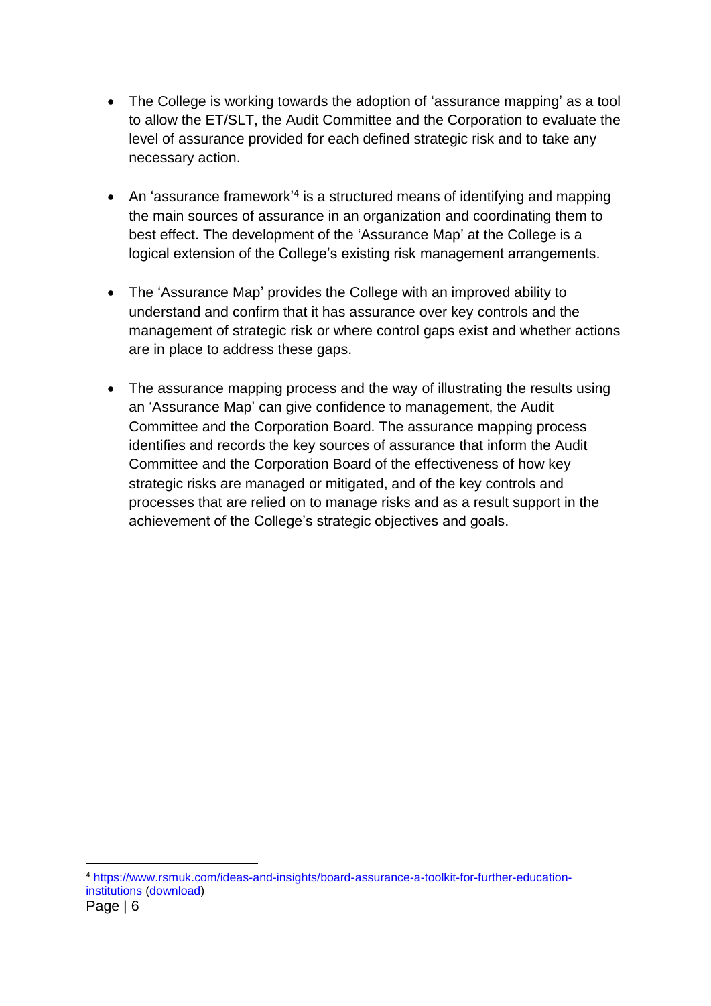- The College is working towards the adoption of 'assurance mapping' as a tool to allow the ET/SLT, the Audit Committee and the Corporation to evaluate the level of assurance provided for each defined strategic risk and to take any necessary action.
- An 'assurance framework'<sup>4</sup> is a structured means of identifying and mapping the main sources of assurance in an organization and coordinating them to best effect. The development of the 'Assurance Map' at the College is a logical extension of the College's existing risk management arrangements.
- The 'Assurance Map' provides the College with an improved ability to understand and confirm that it has assurance over key controls and the management of strategic risk or where control gaps exist and whether actions are in place to address these gaps.
- The assurance mapping process and the way of illustrating the results using an 'Assurance Map' can give confidence to management, the Audit Committee and the Corporation Board. The assurance mapping process identifies and records the key sources of assurance that inform the Audit Committee and the Corporation Board of the effectiveness of how key strategic risks are managed or mitigated, and of the key controls and processes that are relied on to manage risks and as a result support in the achievement of the College's strategic objectives and goals.

1

<sup>4</sup> [https://www.rsmuk.com/ideas-and-insights/board-assurance-a-toolkit-for-further-education](https://www.rsmuk.com/ideas-and-insights/board-assurance-a-toolkit-for-further-education-institutions)[institutions](https://www.rsmuk.com/ideas-and-insights/board-assurance-a-toolkit-for-further-education-institutions) [\(download\)](https://drive.google.com/open?id=1dep9fmsczlC9Q-7FqNY1C8xm6utozQNY)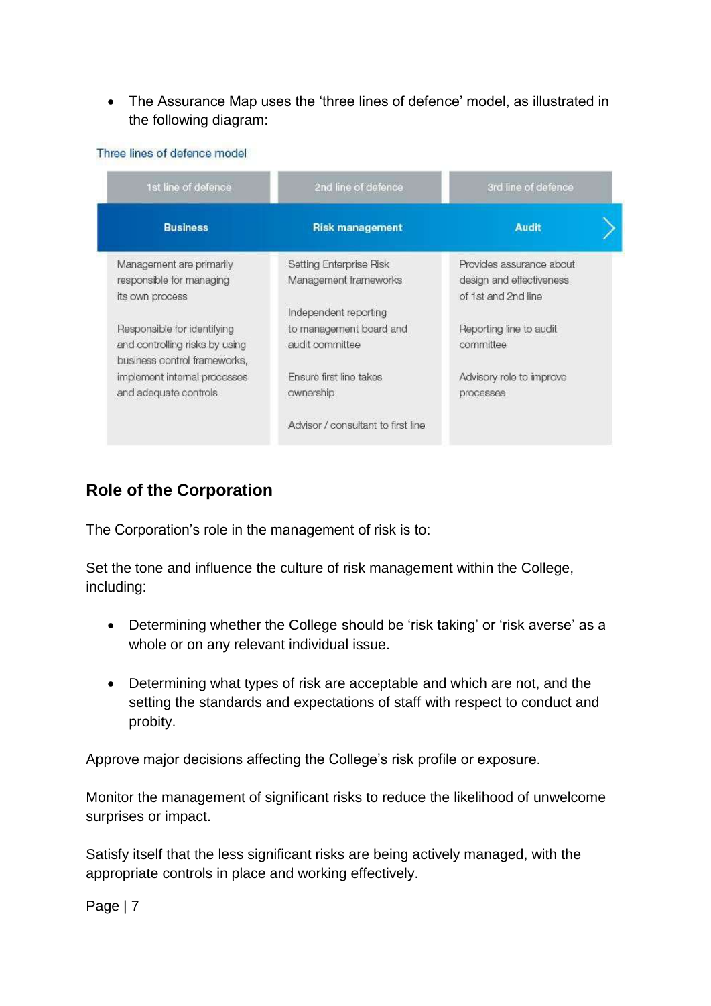• The Assurance Map uses the 'three lines of defence' model, as illustrated in the following diagram:

Three lines of defence model

| 1st line of defence            | 2nd line of defence                | 3rd line of defence      |
|--------------------------------|------------------------------------|--------------------------|
| <b>Business</b>                | <b>Risk management</b>             | <b>Audit</b>             |
| Management are primarily       | Setting Enterprise Risk            | Provides assurance about |
| responsible for managing       | Management frameworks              | design and effectiveness |
| its own process                |                                    | of 1st and 2nd line      |
|                                | Independent reporting              |                          |
| Responsible for identifying    | to management board and            | Reporting line to audit  |
| and controlling risks by using | audit committee                    | committee                |
| business control frameworks,   |                                    |                          |
| implement internal processes   | Ensure first line takes            | Advisory role to improve |
| and adequate controls          | ownership                          | processes                |
|                                |                                    |                          |
|                                | Advisor / consultant to first line |                          |

## <span id="page-6-0"></span>**Role of the Corporation**

The Corporation's role in the management of risk is to:

Set the tone and influence the culture of risk management within the College, including:

- Determining whether the College should be 'risk taking' or 'risk averse' as a whole or on any relevant individual issue.
- Determining what types of risk are acceptable and which are not, and the setting the standards and expectations of staff with respect to conduct and probity.

Approve major decisions affecting the College's risk profile or exposure.

Monitor the management of significant risks to reduce the likelihood of unwelcome surprises or impact.

Satisfy itself that the less significant risks are being actively managed, with the appropriate controls in place and working effectively.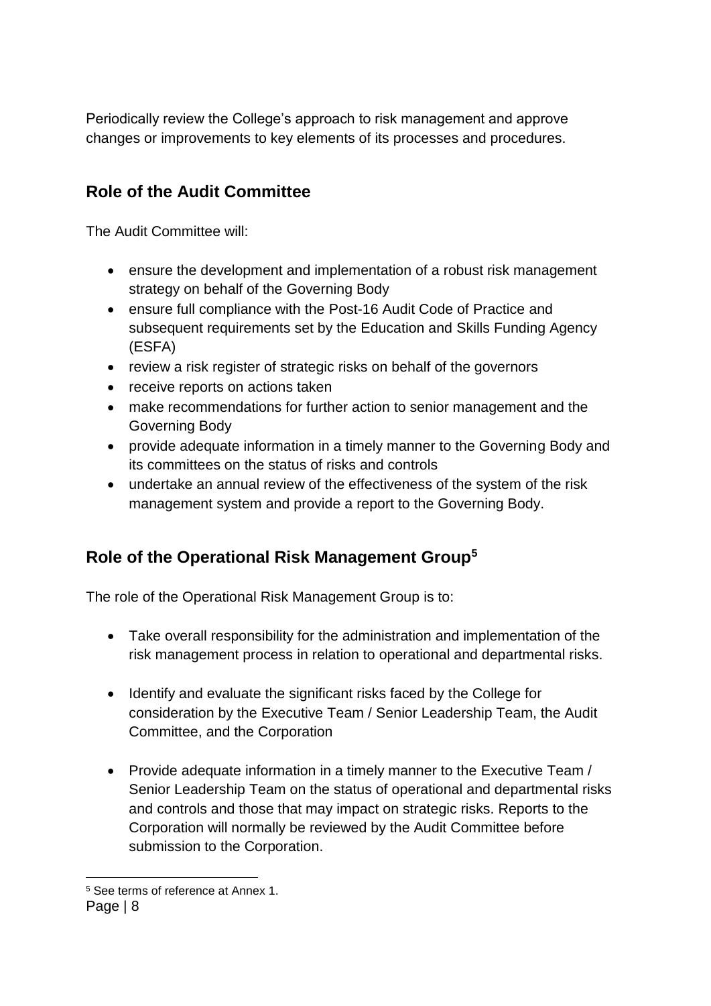Periodically review the College's approach to risk management and approve changes or improvements to key elements of its processes and procedures.

## <span id="page-7-0"></span>**Role of the Audit Committee**

The Audit Committee will:

- ensure the development and implementation of a robust risk management strategy on behalf of the Governing Body
- ensure full compliance with the Post-16 Audit Code of Practice and subsequent requirements set by the Education and Skills Funding Agency (ESFA)
- review a risk register of strategic risks on behalf of the governors
- receive reports on actions taken
- make recommendations for further action to senior management and the Governing Body
- provide adequate information in a timely manner to the Governing Body and its committees on the status of risks and controls
- undertake an annual review of the effectiveness of the system of the risk management system and provide a report to the Governing Body.

## <span id="page-7-1"></span>**Role of the Operational Risk Management Group<sup>5</sup>**

The role of the Operational Risk Management Group is to:

- Take overall responsibility for the administration and implementation of the risk management process in relation to operational and departmental risks.
- Identify and evaluate the significant risks faced by the College for consideration by the Executive Team / Senior Leadership Team, the Audit Committee, and the Corporation
- Provide adequate information in a timely manner to the Executive Team / Senior Leadership Team on the status of operational and departmental risks and controls and those that may impact on strategic risks. Reports to the Corporation will normally be reviewed by the Audit Committee before submission to the Corporation.

<sup>1</sup> <sup>5</sup> See terms of reference at Annex 1.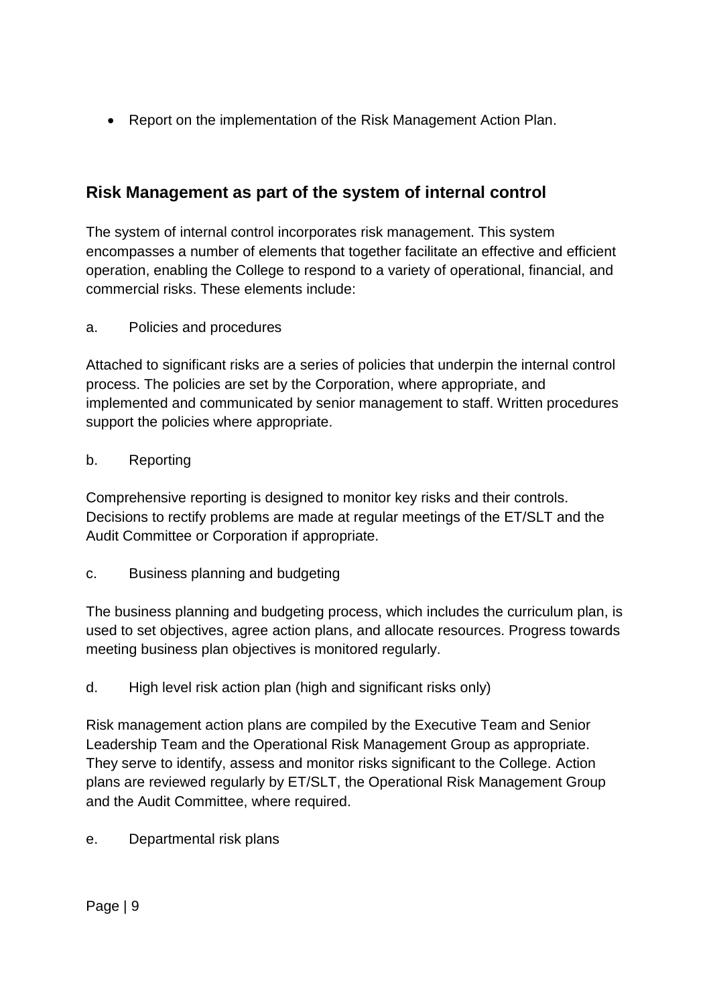• Report on the implementation of the Risk Management Action Plan.

## <span id="page-8-0"></span>**Risk Management as part of the system of internal control**

The system of internal control incorporates risk management. This system encompasses a number of elements that together facilitate an effective and efficient operation, enabling the College to respond to a variety of operational, financial, and commercial risks. These elements include:

a. Policies and procedures

Attached to significant risks are a series of policies that underpin the internal control process. The policies are set by the Corporation, where appropriate, and implemented and communicated by senior management to staff. Written procedures support the policies where appropriate.

#### b. Reporting

Comprehensive reporting is designed to monitor key risks and their controls. Decisions to rectify problems are made at regular meetings of the ET/SLT and the Audit Committee or Corporation if appropriate.

c. Business planning and budgeting

The business planning and budgeting process, which includes the curriculum plan, is used to set objectives, agree action plans, and allocate resources. Progress towards meeting business plan objectives is monitored regularly.

d. High level risk action plan (high and significant risks only)

Risk management action plans are compiled by the Executive Team and Senior Leadership Team and the Operational Risk Management Group as appropriate. They serve to identify, assess and monitor risks significant to the College. Action plans are reviewed regularly by ET/SLT, the Operational Risk Management Group and the Audit Committee, where required.

e. Departmental risk plans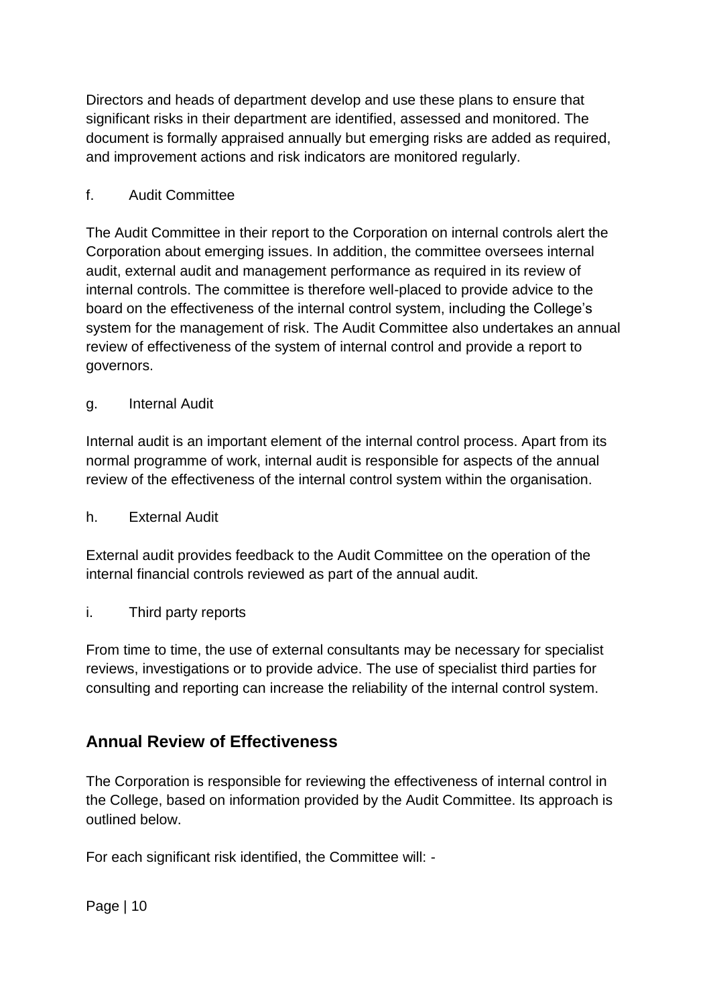Directors and heads of department develop and use these plans to ensure that significant risks in their department are identified, assessed and monitored. The document is formally appraised annually but emerging risks are added as required, and improvement actions and risk indicators are monitored regularly.

#### f. Audit Committee

The Audit Committee in their report to the Corporation on internal controls alert the Corporation about emerging issues. In addition, the committee oversees internal audit, external audit and management performance as required in its review of internal controls. The committee is therefore well-placed to provide advice to the board on the effectiveness of the internal control system, including the College's system for the management of risk. The Audit Committee also undertakes an annual review of effectiveness of the system of internal control and provide a report to governors.

#### g. Internal Audit

Internal audit is an important element of the internal control process. Apart from its normal programme of work, internal audit is responsible for aspects of the annual review of the effectiveness of the internal control system within the organisation.

#### h. External Audit

External audit provides feedback to the Audit Committee on the operation of the internal financial controls reviewed as part of the annual audit.

#### i. Third party reports

From time to time, the use of external consultants may be necessary for specialist reviews, investigations or to provide advice. The use of specialist third parties for consulting and reporting can increase the reliability of the internal control system.

## <span id="page-9-0"></span>**Annual Review of Effectiveness**

The Corporation is responsible for reviewing the effectiveness of internal control in the College, based on information provided by the Audit Committee. Its approach is outlined below.

For each significant risk identified, the Committee will: -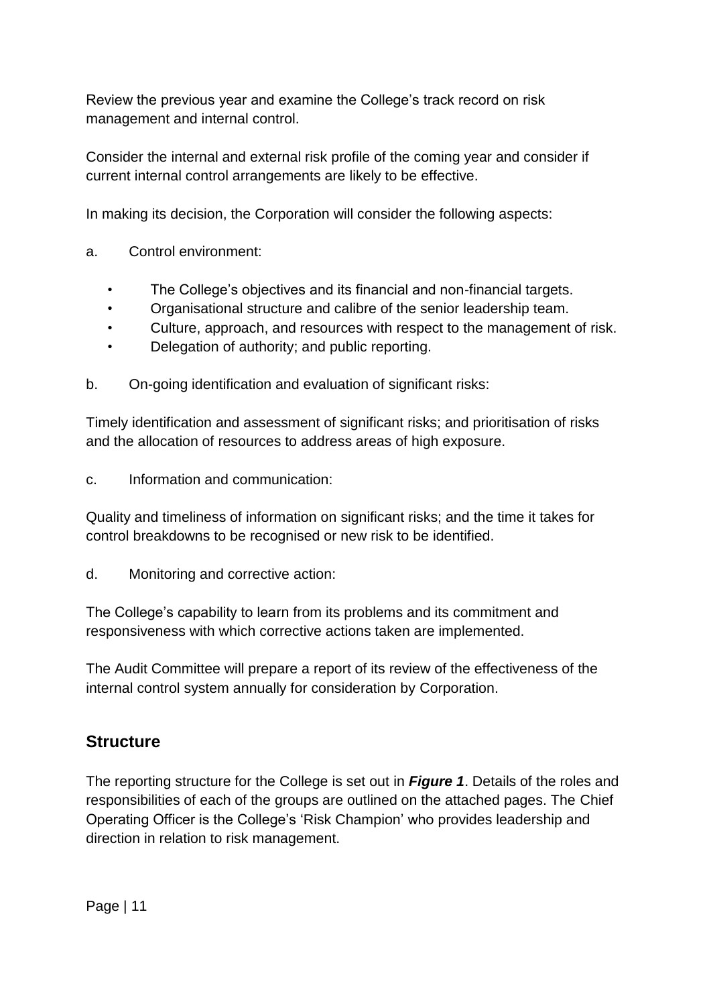Review the previous year and examine the College's track record on risk management and internal control.

Consider the internal and external risk profile of the coming year and consider if current internal control arrangements are likely to be effective.

In making its decision, the Corporation will consider the following aspects:

- a. Control environment:
	- The College's objectives and its financial and non-financial targets.
	- Organisational structure and calibre of the senior leadership team.
	- Culture, approach, and resources with respect to the management of risk.
	- Delegation of authority; and public reporting.
- b. On-going identification and evaluation of significant risks:

Timely identification and assessment of significant risks; and prioritisation of risks and the allocation of resources to address areas of high exposure.

c. Information and communication:

Quality and timeliness of information on significant risks; and the time it takes for control breakdowns to be recognised or new risk to be identified.

d. Monitoring and corrective action:

The College's capability to learn from its problems and its commitment and responsiveness with which corrective actions taken are implemented.

The Audit Committee will prepare a report of its review of the effectiveness of the internal control system annually for consideration by Corporation.

## <span id="page-10-0"></span>**Structure**

The reporting structure for the College is set out in *Figure 1*. Details of the roles and responsibilities of each of the groups are outlined on the attached pages. The Chief Operating Officer is the College's 'Risk Champion' who provides leadership and direction in relation to risk management.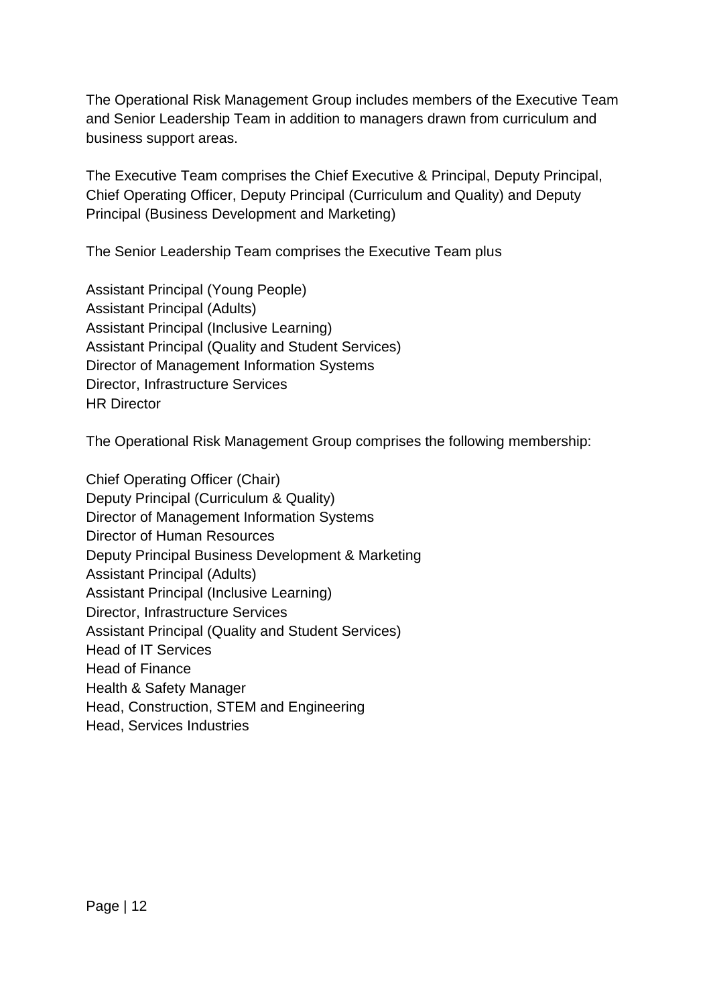The Operational Risk Management Group includes members of the Executive Team and Senior Leadership Team in addition to managers drawn from curriculum and business support areas.

The Executive Team comprises the Chief Executive & Principal, Deputy Principal, Chief Operating Officer, Deputy Principal (Curriculum and Quality) and Deputy Principal (Business Development and Marketing)

The Senior Leadership Team comprises the Executive Team plus

Assistant Principal (Young People) Assistant Principal (Adults) Assistant Principal (Inclusive Learning) Assistant Principal (Quality and Student Services) Director of Management Information Systems Director, Infrastructure Services HR Director

The Operational Risk Management Group comprises the following membership:

Chief Operating Officer (Chair) Deputy Principal (Curriculum & Quality) Director of Management Information Systems Director of Human Resources Deputy Principal Business Development & Marketing Assistant Principal (Adults) Assistant Principal (Inclusive Learning) Director, Infrastructure Services Assistant Principal (Quality and Student Services) Head of IT Services Head of Finance Health & Safety Manager Head, Construction, STEM and Engineering Head, Services Industries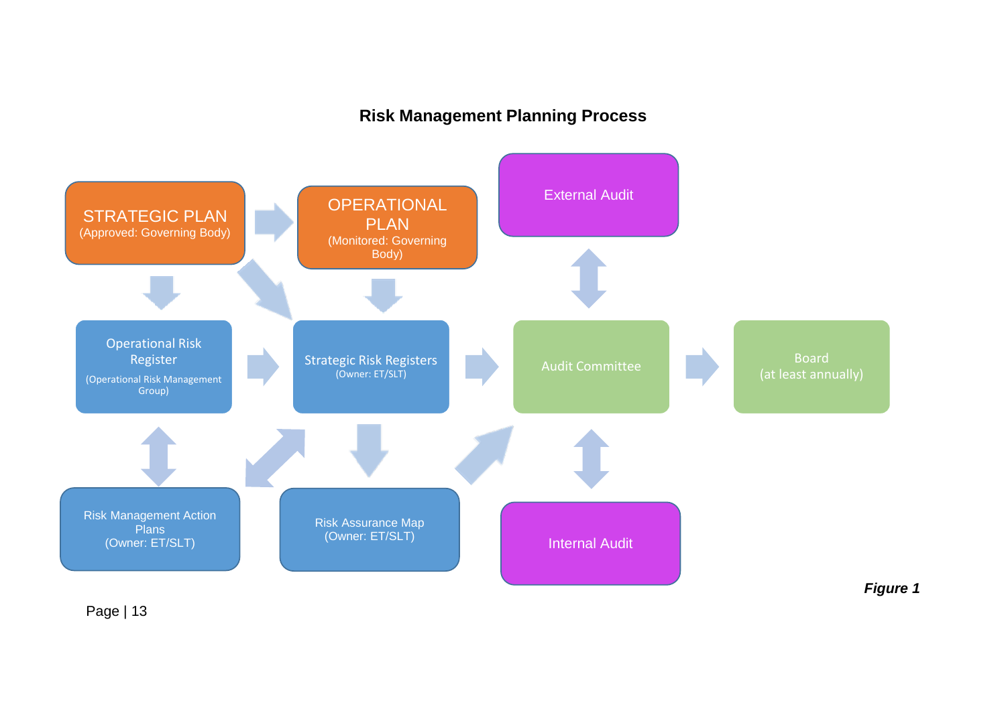## **Risk Management Planning Process**

<span id="page-12-0"></span>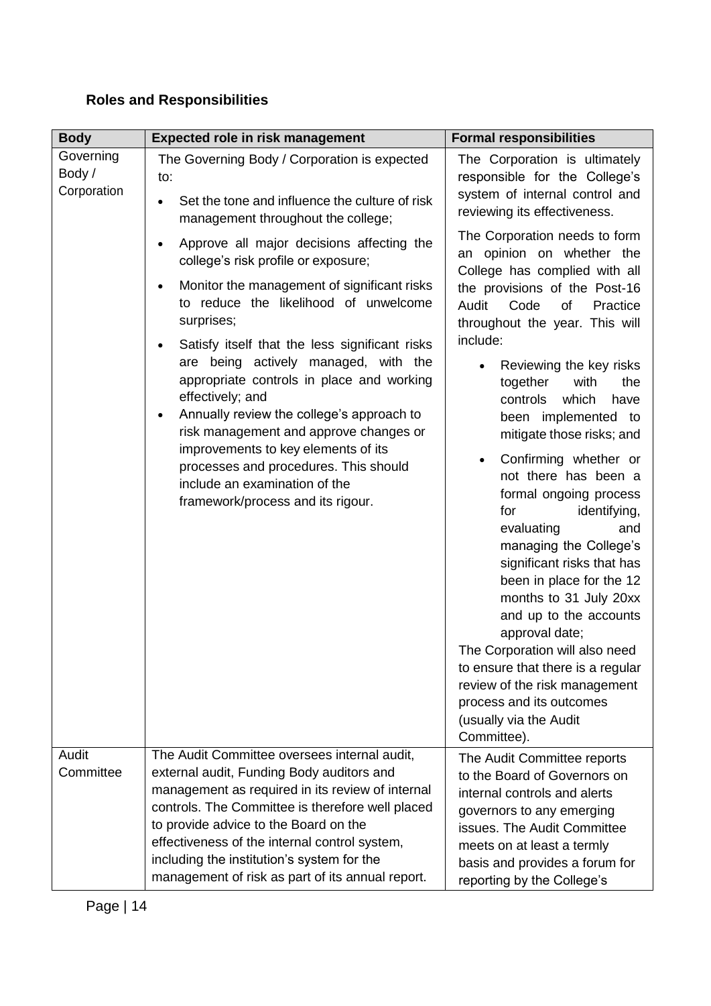## **Roles and Responsibilities**

| <b>Body</b>                        | <b>Expected role in risk management</b>                                                                                                                                                                                                                                                                                                                                                                                                                                                                                                                                                                                                                                                                                                       | <b>Formal responsibilities</b>                                                                                                                                                                                                                                                                                                                                                                                                                                                                                                                                                                                                                                                                                                                                                                                                                                                                                                                                      |
|------------------------------------|-----------------------------------------------------------------------------------------------------------------------------------------------------------------------------------------------------------------------------------------------------------------------------------------------------------------------------------------------------------------------------------------------------------------------------------------------------------------------------------------------------------------------------------------------------------------------------------------------------------------------------------------------------------------------------------------------------------------------------------------------|---------------------------------------------------------------------------------------------------------------------------------------------------------------------------------------------------------------------------------------------------------------------------------------------------------------------------------------------------------------------------------------------------------------------------------------------------------------------------------------------------------------------------------------------------------------------------------------------------------------------------------------------------------------------------------------------------------------------------------------------------------------------------------------------------------------------------------------------------------------------------------------------------------------------------------------------------------------------|
| Governing<br>Body /<br>Corporation | The Governing Body / Corporation is expected<br>to:<br>Set the tone and influence the culture of risk<br>management throughout the college;<br>Approve all major decisions affecting the<br>college's risk profile or exposure;<br>Monitor the management of significant risks<br>to reduce the likelihood of unwelcome<br>surprises;<br>Satisfy itself that the less significant risks<br>are being actively managed, with the<br>appropriate controls in place and working<br>effectively; and<br>Annually review the college's approach to<br>risk management and approve changes or<br>improvements to key elements of its<br>processes and procedures. This should<br>include an examination of the<br>framework/process and its rigour. | The Corporation is ultimately<br>responsible for the College's<br>system of internal control and<br>reviewing its effectiveness.<br>The Corporation needs to form<br>an opinion on whether the<br>College has complied with all<br>the provisions of the Post-16<br>Audit<br>Code<br>of<br>Practice<br>throughout the year. This will<br>include:<br>Reviewing the key risks<br>together<br>with<br>the<br>controls<br>which<br>have<br>been implemented to<br>mitigate those risks; and<br>Confirming whether or<br>$\bullet$<br>not there has been a<br>formal ongoing process<br>for<br>identifying,<br>evaluating<br>and<br>managing the College's<br>significant risks that has<br>been in place for the 12<br>months to 31 July 20xx<br>and up to the accounts<br>approval date;<br>The Corporation will also need<br>to ensure that there is a regular<br>review of the risk management<br>process and its outcomes<br>(usually via the Audit<br>Committee). |
| Audit<br>Committee                 | The Audit Committee oversees internal audit,<br>external audit, Funding Body auditors and<br>management as required in its review of internal<br>controls. The Committee is therefore well placed<br>to provide advice to the Board on the<br>effectiveness of the internal control system,<br>including the institution's system for the<br>management of risk as part of its annual report.                                                                                                                                                                                                                                                                                                                                                 | The Audit Committee reports<br>to the Board of Governors on<br>internal controls and alerts<br>governors to any emerging<br>issues. The Audit Committee<br>meets on at least a termly<br>basis and provides a forum for<br>reporting by the College's                                                                                                                                                                                                                                                                                                                                                                                                                                                                                                                                                                                                                                                                                                               |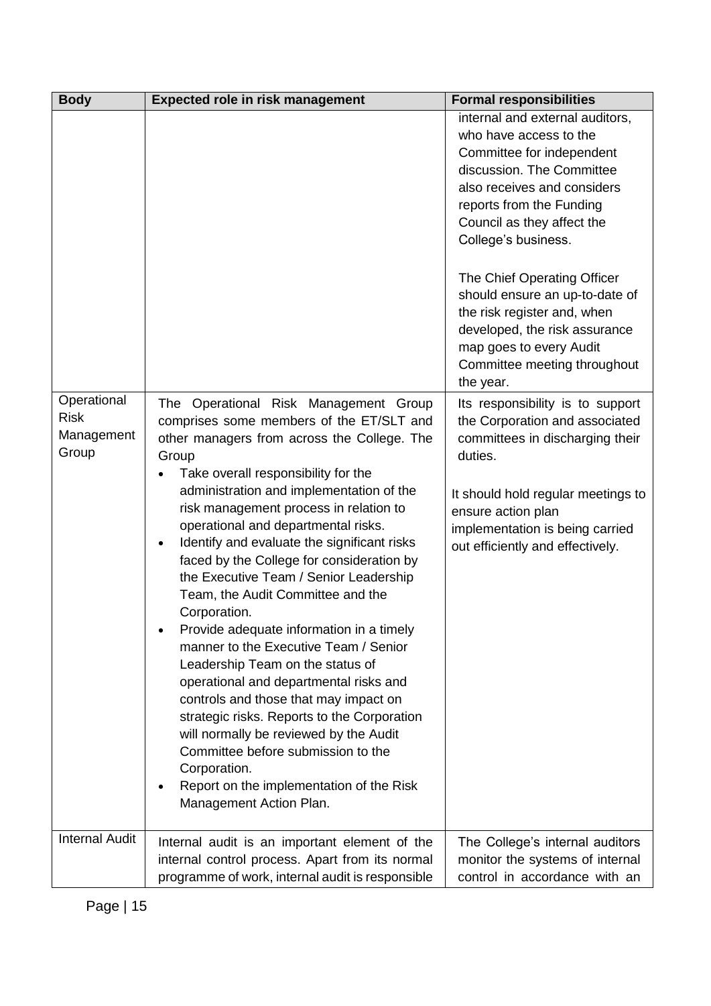| <b>Body</b>                                                                | <b>Expected role in risk management</b>                                                                                                                                                                                                                                                                                                                                                                                                                                                                                                                                                                                                                                                                                                                                                                                                                                                                                                                              | <b>Formal responsibilities</b>                                                                                                                                                                                                                                                                                                                                                                                                                                                                                                                                                                                                                                                                      |
|----------------------------------------------------------------------------|----------------------------------------------------------------------------------------------------------------------------------------------------------------------------------------------------------------------------------------------------------------------------------------------------------------------------------------------------------------------------------------------------------------------------------------------------------------------------------------------------------------------------------------------------------------------------------------------------------------------------------------------------------------------------------------------------------------------------------------------------------------------------------------------------------------------------------------------------------------------------------------------------------------------------------------------------------------------|-----------------------------------------------------------------------------------------------------------------------------------------------------------------------------------------------------------------------------------------------------------------------------------------------------------------------------------------------------------------------------------------------------------------------------------------------------------------------------------------------------------------------------------------------------------------------------------------------------------------------------------------------------------------------------------------------------|
| Operational<br><b>Risk</b><br>Management<br>Group<br><b>Internal Audit</b> | The Operational Risk Management Group<br>comprises some members of the ET/SLT and<br>other managers from across the College. The<br>Group<br>Take overall responsibility for the<br>administration and implementation of the<br>risk management process in relation to<br>operational and departmental risks.<br>Identify and evaluate the significant risks<br>$\bullet$<br>faced by the College for consideration by<br>the Executive Team / Senior Leadership<br>Team, the Audit Committee and the<br>Corporation.<br>Provide adequate information in a timely<br>manner to the Executive Team / Senior<br>Leadership Team on the status of<br>operational and departmental risks and<br>controls and those that may impact on<br>strategic risks. Reports to the Corporation<br>will normally be reviewed by the Audit<br>Committee before submission to the<br>Corporation.<br>Report on the implementation of the Risk<br>$\bullet$<br>Management Action Plan. | internal and external auditors,<br>who have access to the<br>Committee for independent<br>discussion. The Committee<br>also receives and considers<br>reports from the Funding<br>Council as they affect the<br>College's business.<br>The Chief Operating Officer<br>should ensure an up-to-date of<br>the risk register and, when<br>developed, the risk assurance<br>map goes to every Audit<br>Committee meeting throughout<br>the year.<br>Its responsibility is to support<br>the Corporation and associated<br>committees in discharging their<br>duties.<br>It should hold regular meetings to<br>ensure action plan<br>implementation is being carried<br>out efficiently and effectively. |
|                                                                            | Internal audit is an important element of the<br>internal control process. Apart from its normal<br>programme of work, internal audit is responsible                                                                                                                                                                                                                                                                                                                                                                                                                                                                                                                                                                                                                                                                                                                                                                                                                 | The College's internal auditors<br>monitor the systems of internal<br>control in accordance with an                                                                                                                                                                                                                                                                                                                                                                                                                                                                                                                                                                                                 |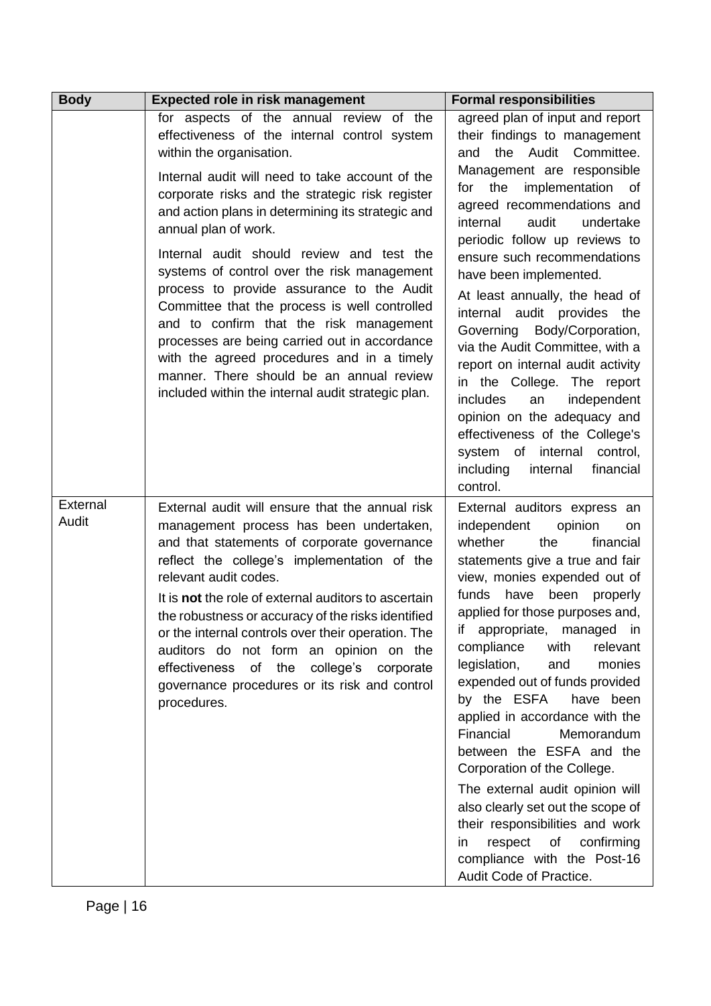| <b>Body</b>       | <b>Expected role in risk management</b>                                                                                                                                                                                                                                                                                                                                                                                                                                                                                                           | <b>Formal responsibilities</b>                                                                                                                                                                                                                                                                                                                                                                                                                                                                                             |
|-------------------|---------------------------------------------------------------------------------------------------------------------------------------------------------------------------------------------------------------------------------------------------------------------------------------------------------------------------------------------------------------------------------------------------------------------------------------------------------------------------------------------------------------------------------------------------|----------------------------------------------------------------------------------------------------------------------------------------------------------------------------------------------------------------------------------------------------------------------------------------------------------------------------------------------------------------------------------------------------------------------------------------------------------------------------------------------------------------------------|
|                   | for aspects of the annual review of the<br>effectiveness of the internal control system<br>within the organisation.<br>Internal audit will need to take account of the                                                                                                                                                                                                                                                                                                                                                                            | agreed plan of input and report<br>their findings to management<br>the Audit Committee.<br>and<br>Management are responsible                                                                                                                                                                                                                                                                                                                                                                                               |
|                   | corporate risks and the strategic risk register<br>and action plans in determining its strategic and<br>annual plan of work.                                                                                                                                                                                                                                                                                                                                                                                                                      | implementation<br>the<br>for<br>of<br>agreed recommendations and<br>internal<br>audit<br>undertake<br>periodic follow up reviews to                                                                                                                                                                                                                                                                                                                                                                                        |
|                   | Internal audit should review and test the<br>systems of control over the risk management<br>process to provide assurance to the Audit<br>Committee that the process is well controlled<br>and to confirm that the risk management<br>processes are being carried out in accordance<br>with the agreed procedures and in a timely<br>manner. There should be an annual review<br>included within the internal audit strategic plan.                                                                                                                | ensure such recommendations<br>have been implemented.<br>At least annually, the head of<br>internal audit provides the<br>Governing Body/Corporation,<br>via the Audit Committee, with a<br>report on internal audit activity<br>in the College. The report<br>includes<br>independent<br>an<br>opinion on the adequacy and<br>effectiveness of the College's                                                                                                                                                              |
|                   |                                                                                                                                                                                                                                                                                                                                                                                                                                                                                                                                                   | system of internal<br>control,<br>including<br>internal<br>financial<br>control.                                                                                                                                                                                                                                                                                                                                                                                                                                           |
| External<br>Audit | External audit will ensure that the annual risk<br>management process has been undertaken,<br>and that statements of corporate governance<br>reflect the college's implementation of the<br>relevant audit codes.<br>It is not the role of external auditors to ascertain<br>the robustness or accuracy of the risks identified<br>or the internal controls over their operation. The<br>auditors do not form an opinion on the<br>college's corporate<br>effectiveness<br>of the<br>governance procedures or its risk and control<br>procedures. | External auditors express an<br>independent<br>opinion<br>on<br>whether<br>the<br>financial<br>statements give a true and fair<br>view, monies expended out of<br>have<br>been properly<br>funds<br>applied for those purposes and,<br>if appropriate, managed in<br>compliance<br>with<br>relevant<br>legislation,<br>and<br>monies<br>expended out of funds provided<br>by the ESFA<br>have been<br>applied in accordance with the<br>Financial<br>Memorandum<br>between the ESFA and the<br>Corporation of the College. |
|                   |                                                                                                                                                                                                                                                                                                                                                                                                                                                                                                                                                   | The external audit opinion will<br>also clearly set out the scope of<br>their responsibilities and work<br>respect of<br>confirming<br>in<br>compliance with the Post-16<br>Audit Code of Practice.                                                                                                                                                                                                                                                                                                                        |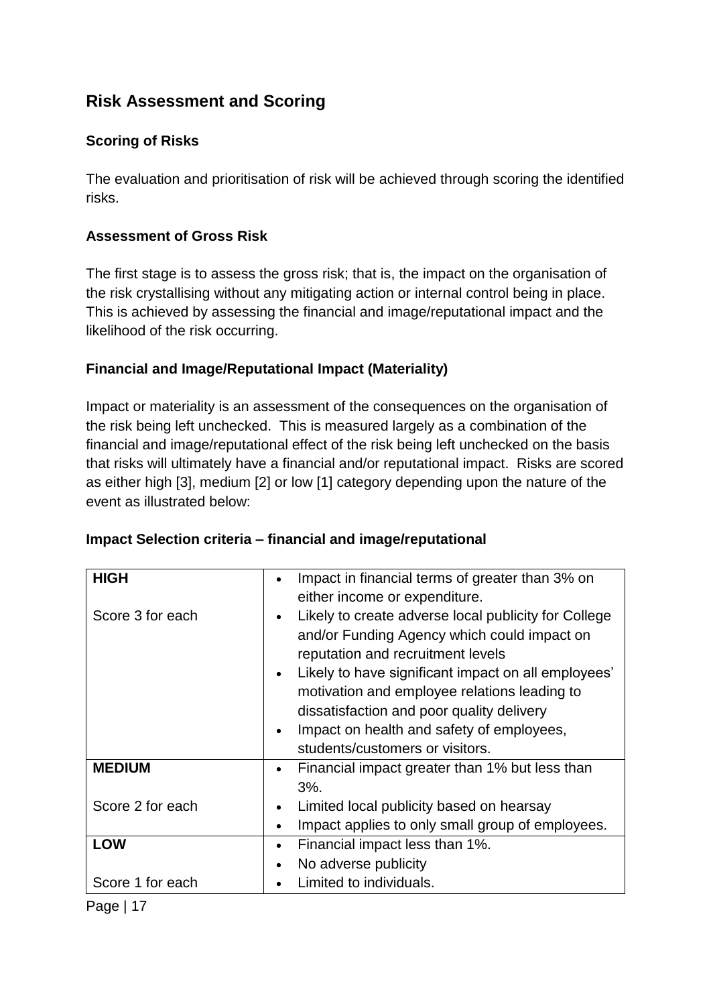## <span id="page-16-0"></span>**Risk Assessment and Scoring**

#### **Scoring of Risks**

The evaluation and prioritisation of risk will be achieved through scoring the identified risks.

#### **Assessment of Gross Risk**

The first stage is to assess the gross risk; that is, the impact on the organisation of the risk crystallising without any mitigating action or internal control being in place. This is achieved by assessing the financial and image/reputational impact and the likelihood of the risk occurring.

#### **Financial and Image/Reputational Impact (Materiality)**

Impact or materiality is an assessment of the consequences on the organisation of the risk being left unchecked. This is measured largely as a combination of the financial and image/reputational effect of the risk being left unchecked on the basis that risks will ultimately have a financial and/or reputational impact. Risks are scored as either high [3], medium [2] or low [1] category depending upon the nature of the event as illustrated below:

| <b>HIGH</b><br>Score 3 for each | Impact in financial terms of greater than 3% on<br>either income or expenditure.<br>Likely to create adverse local publicity for College<br>and/or Funding Agency which could impact on                                                                                            |
|---------------------------------|------------------------------------------------------------------------------------------------------------------------------------------------------------------------------------------------------------------------------------------------------------------------------------|
|                                 | reputation and recruitment levels<br>Likely to have significant impact on all employees'<br>$\bullet$<br>motivation and employee relations leading to<br>dissatisfaction and poor quality delivery<br>Impact on health and safety of employees,<br>students/customers or visitors. |
| <b>MEDIUM</b>                   | Financial impact greater than 1% but less than<br>$3%$ .                                                                                                                                                                                                                           |
| Score 2 for each                | Limited local publicity based on hearsay<br>Impact applies to only small group of employees.<br>$\bullet$                                                                                                                                                                          |
| <b>LOW</b>                      | Financial impact less than 1%.<br>٠                                                                                                                                                                                                                                                |
|                                 | No adverse publicity                                                                                                                                                                                                                                                               |
| Score 1 for each                | Limited to individuals.                                                                                                                                                                                                                                                            |

#### **Impact Selection criteria – financial and image/reputational**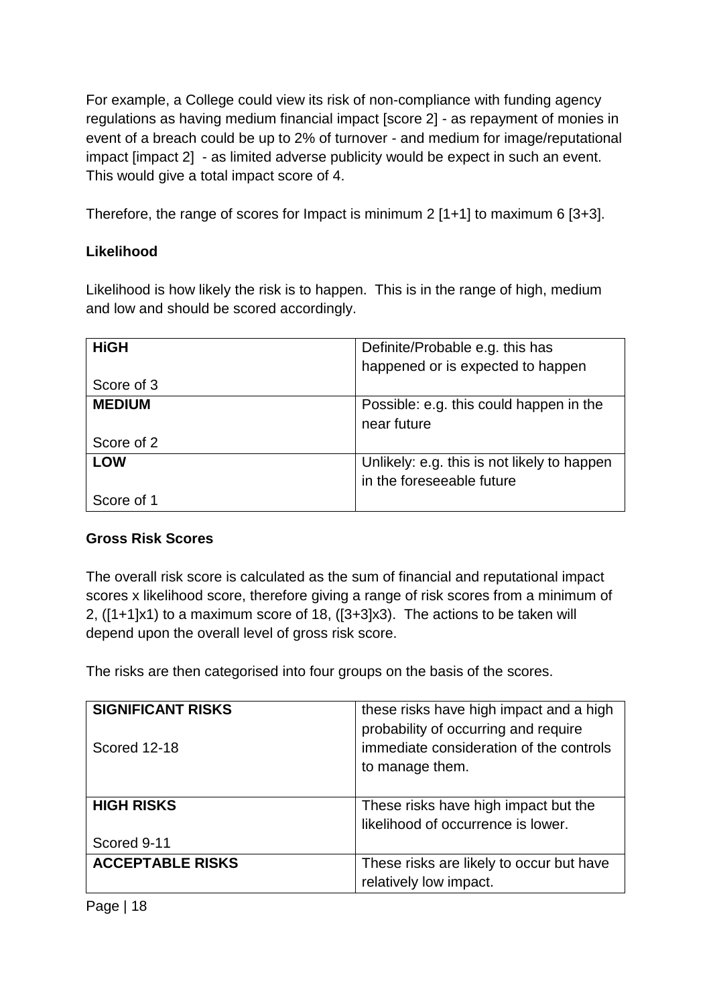For example, a College could view its risk of non-compliance with funding agency regulations as having medium financial impact [score 2] - as repayment of monies in event of a breach could be up to 2% of turnover - and medium for image/reputational impact [impact 2] - as limited adverse publicity would be expect in such an event. This would give a total impact score of 4.

Therefore, the range of scores for Impact is minimum 2 [1+1] to maximum 6 [3+3].

#### **Likelihood**

Likelihood is how likely the risk is to happen. This is in the range of high, medium and low and should be scored accordingly.

| <b>HiGH</b>   | Definite/Probable e.g. this has             |
|---------------|---------------------------------------------|
|               | happened or is expected to happen           |
| Score of 3    |                                             |
| <b>MEDIUM</b> | Possible: e.g. this could happen in the     |
|               | near future                                 |
| Score of 2    |                                             |
| <b>LOW</b>    | Unlikely: e.g. this is not likely to happen |
|               | in the foreseeable future                   |
| Score of 1    |                                             |

#### **Gross Risk Scores**

The overall risk score is calculated as the sum of financial and reputational impact scores x likelihood score, therefore giving a range of risk scores from a minimum of 2, ([1+1]x1) to a maximum score of 18, ([3+3]x3). The actions to be taken will depend upon the overall level of gross risk score.

The risks are then categorised into four groups on the basis of the scores.

| <b>SIGNIFICANT RISKS</b><br>Scored 12-18 | these risks have high impact and a high<br>probability of occurring and require<br>immediate consideration of the controls<br>to manage them. |
|------------------------------------------|-----------------------------------------------------------------------------------------------------------------------------------------------|
| <b>HIGH RISKS</b>                        | These risks have high impact but the                                                                                                          |
|                                          | likelihood of occurrence is lower.                                                                                                            |
| Scored 9-11                              |                                                                                                                                               |
| <b>ACCEPTABLE RISKS</b>                  | These risks are likely to occur but have                                                                                                      |
|                                          | relatively low impact.                                                                                                                        |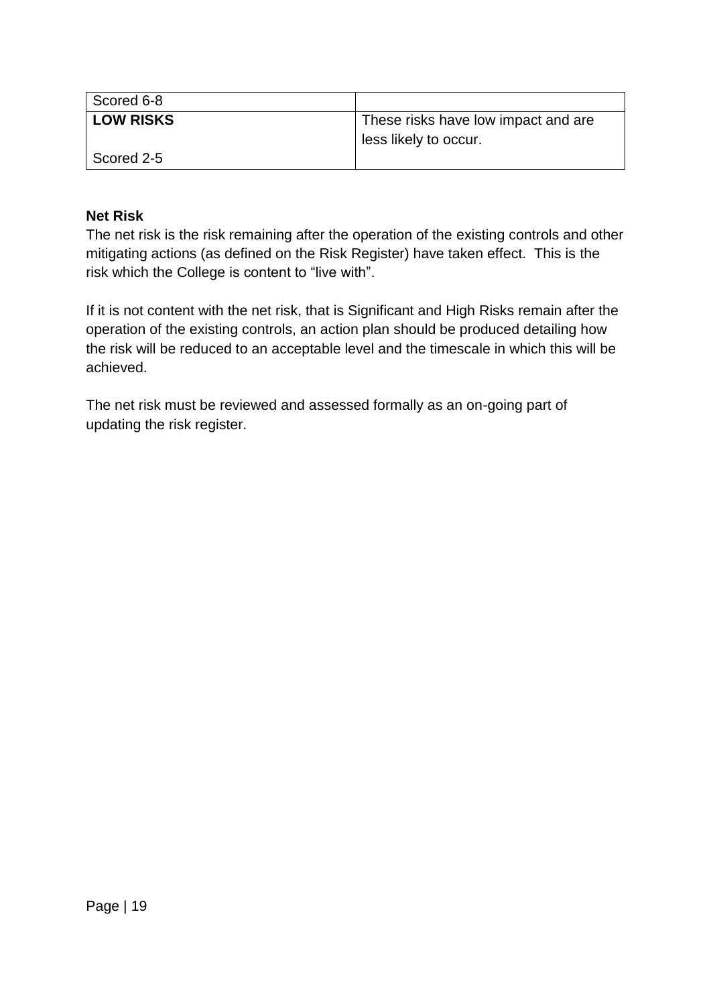| Scored 6-8       |                                     |
|------------------|-------------------------------------|
| <b>LOW RISKS</b> | These risks have low impact and are |
|                  | less likely to occur.               |
| Scored 2-5       |                                     |

#### **Net Risk**

The net risk is the risk remaining after the operation of the existing controls and other mitigating actions (as defined on the Risk Register) have taken effect. This is the risk which the College is content to "live with".

If it is not content with the net risk, that is Significant and High Risks remain after the operation of the existing controls, an action plan should be produced detailing how the risk will be reduced to an acceptable level and the timescale in which this will be achieved.

The net risk must be reviewed and assessed formally as an on-going part of updating the risk register.